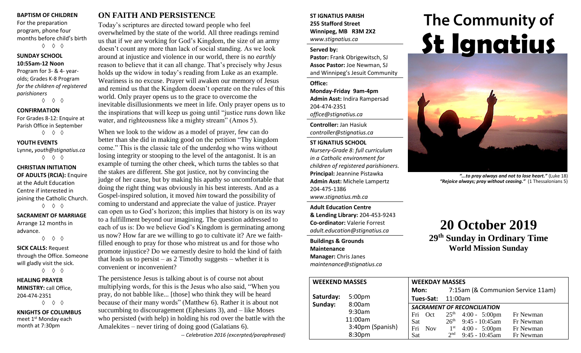#### **BAPTISM OF CHILDREN**

For the preparation program, phone four months before child's birth ◊ ◊ ◊

#### **SUNDAY SCHOOL 10:55am-12 Noon**

Program for 3- & 4- yearolds; Grades K-8 Program *for the children of registered parishioners*

◊ ◊ ◊

#### **CONFIRMATION**

For Grades 8-12: Enquire at Parish Office in September ◊ ◊ ◊

**YOUTH EVENTS**

Lynne**,** *youth@stignatius.ca* ◊ ◊ ◊

**CHRISTIAN INITIATION OF ADULTS (RCIA):** Enquire at the Adult Education Centre if interested in joining the Catholic Church. ◊ ◊ ◊

#### **SACRAMENT OF MARRIAGE** Arrange 12 months in

advance. ◊ ◊ ◊

**SICK CALLS:** Request

through the Office. Someone will gladly visit the sick. ◊ ◊ ◊

**HEALING PRAYER MINISTRY:** call Office, 204-474-2351 ◊ ◊ ◊

**KNIGHTS OF COLUMBUS** meet 1<sup>st</sup> Monday each month at 7:30pm

## **ON FAITH AND PERSISTENCE**

Today's scriptures are directed toward people who feel overwhelmed by the state of the world. All three readings remind us that if we are working for God's Kingdom, the size of an army doesn't count any more than lack of social standing. As we look around at injustice and violence in our world, there is no *earthly* reason to believe that it can all change. That's precisely why Jesus holds up the widow in today's reading from Luke as an example. Weariness is no excuse. Prayer will awaken our memory of Jesus and remind us that the Kingdom doesn't operate on the rules of this world. Only prayer opens us to the grace to overcome the inevitable disillusionments we meet in life. Only prayer opens us to the inspirations that will keep us going until "justice runs down like water, and righteousness like a mighty stream" (Amos 5).

When we look to the widow as a model of prayer, few can do better than she did in making good on the petition "Thy kingdom come." This is the classic tale of the underdog who wins without losing integrity or stooping to the level of the antagonist. It is an example of turning the other cheek, which turns the tables so that the stakes are different. She got justice, not by convincing the judge of her cause, but by making his apathy so uncomfortable that doing the right thing was obviously in his best interests. And as a Gospel-inspired solution, it moved *him* toward the possibility of coming to understand and appreciate the value of justice. Prayer can open us to God's horizon; this implies that history is on its way to a fulfillment beyond our imagining. The question addressed to each of us is: Do we believe God's Kingdom is germinating among us now? How far are we willing to go to cultivate it? Are we faithfilled enough to pray for those who mistreat us and for those who promote injustice? Do we earnestly desire to hold the kind of faith that leads us to persist – as  $2$  Timothy suggests – whether it is convenient or inconvenient?

The persistence Jesus is talking about is of course not about multiplying words, for this is the Jesus who also said, "When you pray, do not babble like... [those] who think they will be heard because of their many words" (Matthew 6). Rather it is about not succumbing to discouragement (Ephesians 3), and – like Moses who persisted (with help) in holding his rod over the battle with the Amalekites – never tiring of doing good (Galatians 6).

*-- Celebration 2016 (excerpted/paraphrased)*

#### **ST IGNATIUS PARISH 255 Stafford Street Winnipeg, MB R3M 2X2** *www.stignatius.ca*

#### **Served by:**

**Pastor:** Frank Obrigewitsch, SJ **Assoc Pastor:** Joe Newman, SJ and Winnipeg's Jesuit Community

**Office: Monday-Friday 9am-4pm Admin Asst:** Indira Rampersad 204-474-2351 *office@stignatius.ca*

**Controller:** Jan Hasiuk *controller@stignatius.ca*

### **ST IGNATIUS SCHOOL**

*Nursery-Grade 8: full curriculum in a Catholic environment for children of registered parishioners.* **Principal:** Jeannine Pistawka **Admin Asst:** Michele Lampertz 204-475-1386 *www.stignatius.mb.ca*

**Adult Education Centre & Lending Library:** 204-453-9243 **Co-ordinator:** Valerie Forrest *adult.education@stignatius.ca*

**Buildings & Grounds Maintenance Manager:** Chris Janes *maintenance@stignatius.ca*

# The Community of **St Ignatius**



*"...to pray always and not to lose heart."* (Luke 18) *"Rejoice always; pray without ceasing."* (1 Thessalonians 5)

# **20 October 2019**

**29 th Sunday in Ordinary Time World Mission Sunday**

| <b>WEEKEND MASSES</b> |                    | <b>WEEKDAY MASSES</b>              |                                                         |  |  |  |
|-----------------------|--------------------|------------------------------------|---------------------------------------------------------|--|--|--|
|                       |                    | Mon:                               | 7:15am (& Communion Service 11am)                       |  |  |  |
| Saturday:             | 5:00 <sub>pm</sub> | Tues-Sat:                          | 11:00am                                                 |  |  |  |
| Sunday:               | 8:00am             | <b>SACRAMENT OF RECONCILIATION</b> |                                                         |  |  |  |
|                       | 9:30am             | Fri<br>Oct                         | $25th$ 4:00 - 5:00pm<br>Fr Newman                       |  |  |  |
|                       | 11:00am            | <b>Sat</b>                         | $26th$ 9:45 - 10:45am<br>Fr Newman                      |  |  |  |
|                       | 3:40pm (Spanish)   | Fri<br><b>Nov</b>                  | $4:00 - 5:00 \text{pm}$<br>1 <sup>st</sup><br>Fr Newman |  |  |  |
|                       | 8:30pm             | Sat                                | $9:45 - 10:45$ am<br>2 <sub>nd</sub><br>Fr Newman       |  |  |  |